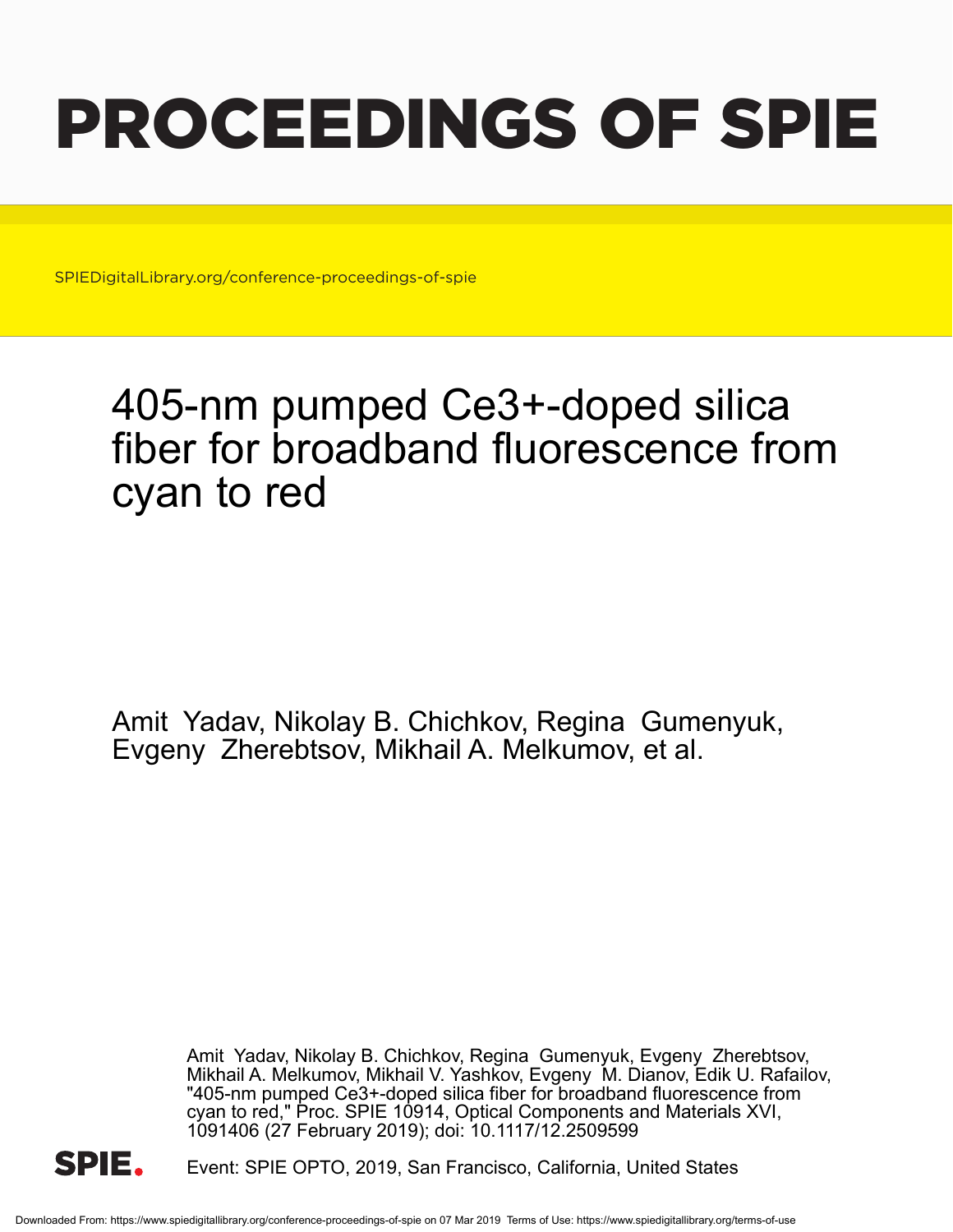# PROCEEDINGS OF SPIE

SPIEDigitalLibrary.org/conference-proceedings-of-spie

## 405-nm pumped Ce3+-doped silica fiber for broadband fluorescence from cyan to red

Amit Yadav, Nikolay B. Chichkov, Regina Gumenyuk, Evgeny Zherebtsov, Mikhail A. Melkumov, et al.

> Amit Yadav, Nikolay B. Chichkov, Regina Gumenyuk, Evgeny Zherebtsov, Mikhail A. Melkumov, Mikhail V. Yashkov, Evgeny M. Dianov, Edik U. Rafailov, "405-nm pumped Ce3+-doped silica fiber for broadband fluorescence from cyan to red," Proc. SPIE 10914, Optical Components and Materials XVI, 1091406 (27 February 2019); doi: 10.1117/12.2509599



Event: SPIE OPTO, 2019, San Francisco, California, United States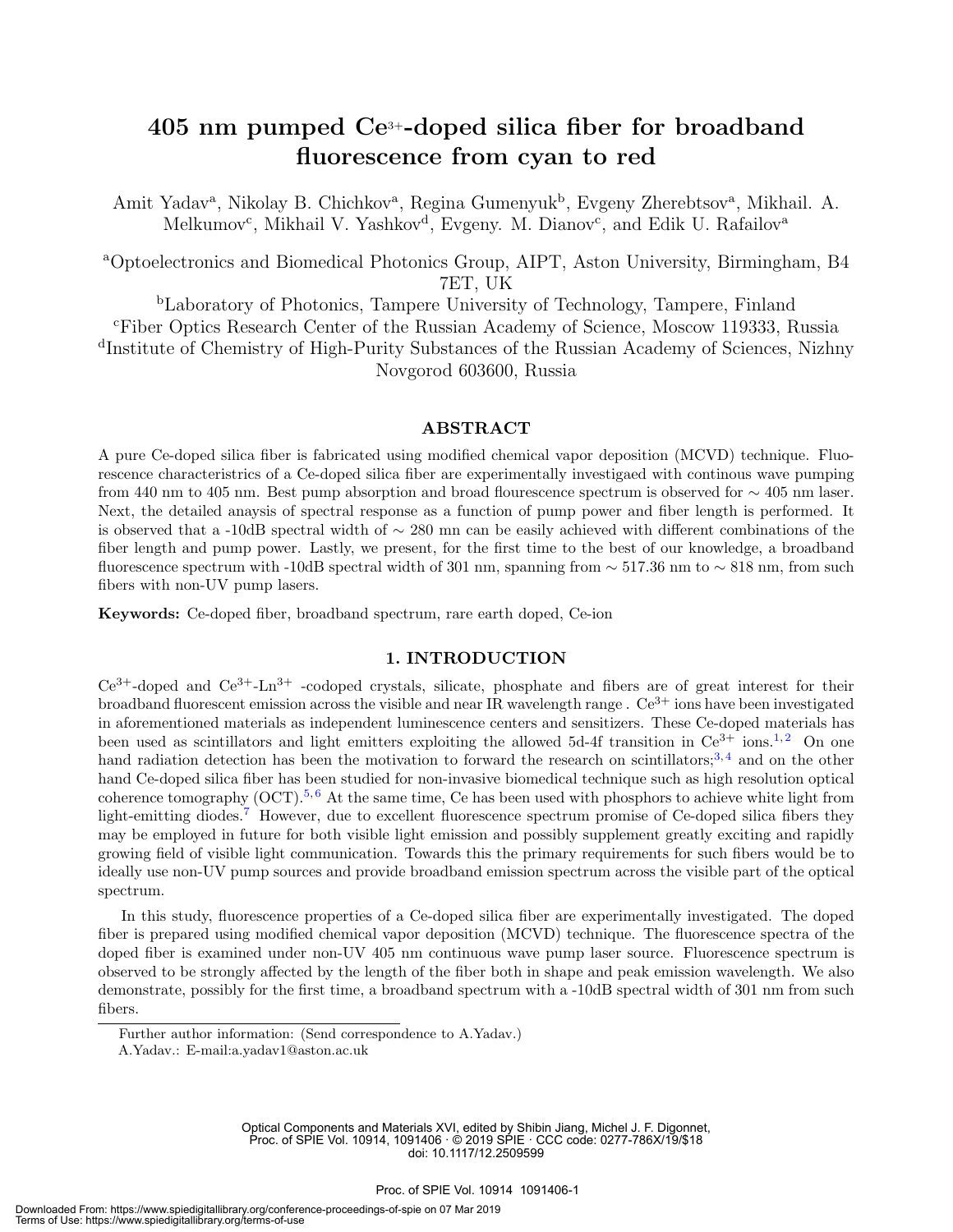### 405 nm pumped Ce3+-doped silica fiber for broadband fluorescence from cyan to red

Amit Yadav<sup>a</sup>, Nikolay B. Chichkov<sup>a</sup>, Regina Gumenyuk<sup>b</sup>, Evgeny Zherebtsov<sup>a</sup>, Mikhail. A. Melkumov<sup>c</sup>, Mikhail V. Yashkov<sup>d</sup>, Evgeny. M. Dianov<sup>c</sup>, and Edik U. Rafailov<sup>a</sup>

<sup>a</sup>Optoelectronics and Biomedical Photonics Group, AIPT, Aston University, Birmingham, B4 7ET, UK

<sup>b</sup>Laboratory of Photonics, Tampere University of Technology, Tampere, Finland <sup>c</sup>Fiber Optics Research Center of the Russian Academy of Science, Moscow 119333, Russia d Institute of Chemistry of High-Purity Substances of the Russian Academy of Sciences, Nizhny Novgorod 603600, Russia

#### ABSTRACT

A pure Ce-doped silica fiber is fabricated using modified chemical vapor deposition (MCVD) technique. Fluorescence characteristrics of a Ce-doped silica fiber are experimentally investigaed with continous wave pumping from 440 nm to 405 nm. Best pump absorption and broad flourescence spectrum is observed for ∼ 405 nm laser. Next, the detailed anaysis of spectral response as a function of pump power and fiber length is performed. It is observed that a -10dB spectral width of ∼ 280 mn can be easily achieved with different combinations of the fiber length and pump power. Lastly, we present, for the first time to the best of our knowledge, a broadband fluorescence spectrum with -10dB spectral width of 301 nm, spanning from  $\sim$  517.36 nm to  $\sim$  818 nm, from such fibers with non-UV pump lasers.

Keywords: Ce-doped fiber, broadband spectrum, rare earth doped, Ce-ion

#### 1. INTRODUCTION

 $Ce^{3+}$ -doped and  $Ce^{3+}$ -Ln<sup>3+</sup> -codoped crystals, silicate, phosphate and fibers are of great interest for their broadband fluorescent emission across the visible and near IR wavelength range .  $Ce^{3+}$  ions have been investigated in aforementioned materials as independent luminescence centers and sensitizers. These Ce-doped materials has been used as scintillators and light emitters exploiting the allowed 5d-4f transition in  $Ce^{3+}$  ions.<sup>1,2</sup> On one hand radiation detection has been the motivation to forward the research on scintillators;<sup>3,4</sup> and on the other hand Ce-doped silica fiber has been studied for non-invasive biomedical technique such as high resolution optical coherence tomography  $(OCT)$ <sup>5, 6</sup> At the same time, Ce has been used with phosphors to achieve white light from light-emitting diodes.<sup>7</sup> However, due to excellent fluorescence spectrum promise of Ce-doped silica fibers they may be employed in future for both visible light emission and possibly supplement greatly exciting and rapidly growing field of visible light communication. Towards this the primary requirements for such fibers would be to ideally use non-UV pump sources and provide broadband emission spectrum across the visible part of the optical spectrum.

In this study, fluorescence properties of a Ce-doped silica fiber are experimentally investigated. The doped fiber is prepared using modified chemical vapor deposition (MCVD) technique. The fluorescence spectra of the doped fiber is examined under non-UV 405 nm continuous wave pump laser source. Fluorescence spectrum is observed to be strongly affected by the length of the fiber both in shape and peak emission wavelength. We also demonstrate, possibly for the first time, a broadband spectrum with a -10dB spectral width of 301 nm from such fibers.

Optical Components and Materials XVI, edited by Shibin Jiang, Michel J. F. Digonnet, Proc. of SPIE Vol. 10914, 1091406 · © 2019 SPIE · CCC code: 0277-786X/19/\$18 doi: 10.1117/12.2509599

Further author information: (Send correspondence to A.Yadav.)

A.Yadav.: E-mail:a.yadav1@aston.ac.uk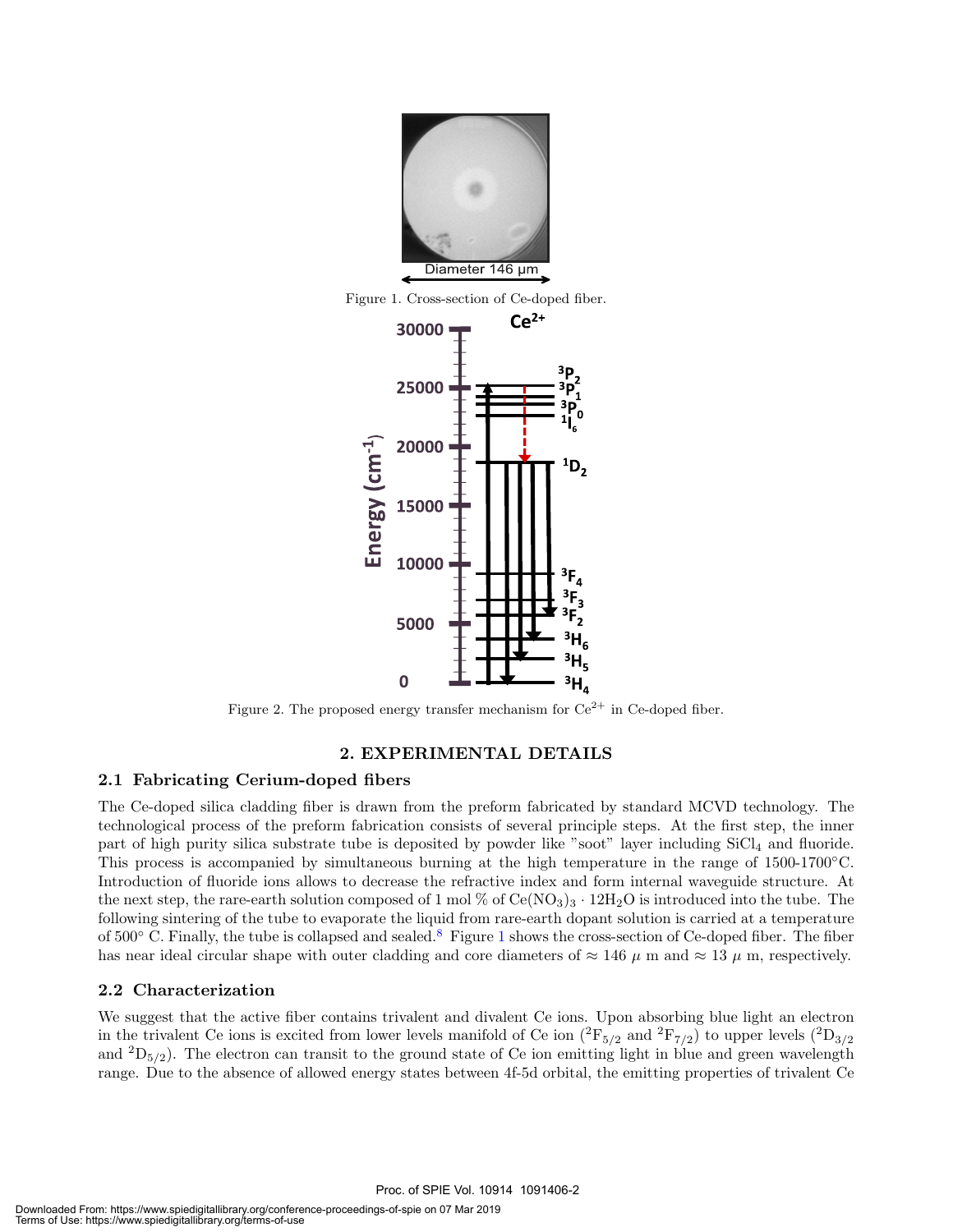

Figure 1. Cross-section of Ce-doped fiber.



Figure 2. The proposed energy transfer mechanism for  $Ce^{2+}$  in Ce-doped fiber.

#### 2. EXPERIMENTAL DETAILS

#### 2.1 Fabricating Cerium-doped fibers

The Ce-doped silica cladding fiber is drawn from the preform fabricated by standard MCVD technology. The technological process of the preform fabrication consists of several principle steps. At the first step, the inner part of high purity silica substrate tube is deposited by powder like "soot" layer including SiCl<sup>4</sup> and fluoride. This process is accompanied by simultaneous burning at the high temperature in the range of 1500-1700◦C. Introduction of fluoride ions allows to decrease the refractive index and form internal waveguide structure. At the next step, the rare-earth solution composed of 1 mol % of  $Ce(NO<sub>3</sub>)<sub>3</sub> \cdot 12H<sub>2</sub>O$  is introduced into the tube. The following sintering of the tube to evaporate the liquid from rare-earth dopant solution is carried at a temperature of 500◦ C. Finally, the tube is collapsed and sealed.<sup>8</sup> Figure 1 shows the cross-section of Ce-doped fiber. The fiber has near ideal circular shape with outer cladding and core diameters of  $\approx 146 \mu$  m and  $\approx 13 \mu$  m, respectively.

#### 2.2 Characterization

We suggest that the active fiber contains trivalent and divalent Ce ions. Upon absorbing blue light an electron in the trivalent Ce ions is excited from lower levels manifold of Ce ion  $(^2\text{F}_{5/2}$  and  $^2\text{F}_{7/2})$  to upper levels  $(^2\text{D}_{3/2})$ and  ${}^{2}D_{5/2}$ ). The electron can transit to the ground state of Ce ion emitting light in blue and green wavelength range. Due to the absence of allowed energy states between 4f-5d orbital, the emitting properties of trivalent Ce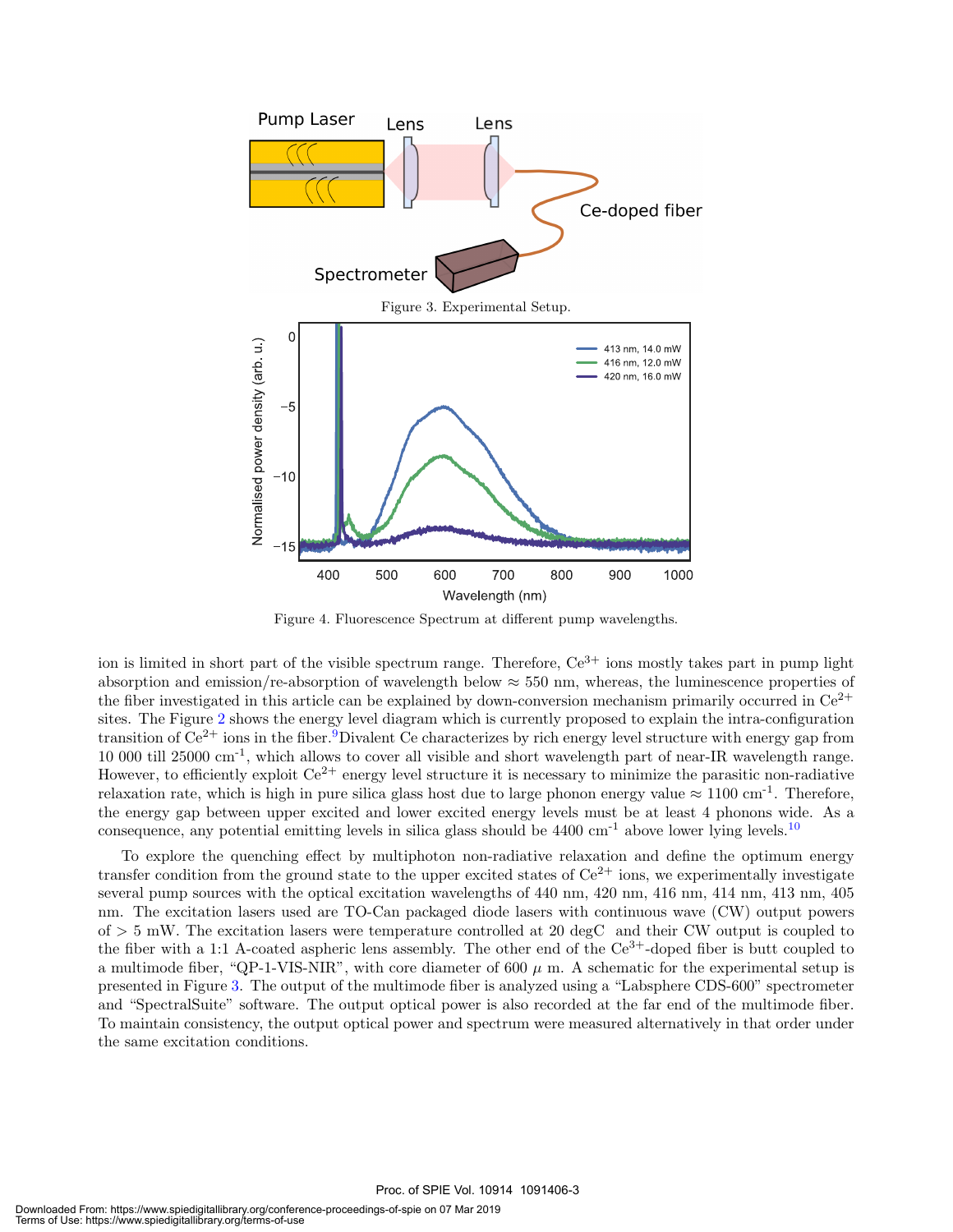

Figure 4. Fluorescence Spectrum at different pump wavelengths.

ion is limited in short part of the visible spectrum range. Therefore,  $Ce^{3+}$  ions mostly takes part in pump light absorption and emission/re-absorption of wavelength below  $\approx$  550 nm, whereas, the luminescence properties of the fiber investigated in this article can be explained by down-conversion mechanism primarily occurred in  $Ce^{2+}$ sites. The Figure 2 shows the energy level diagram which is currently proposed to explain the intra-configuration transition of  $Ce^{2+}$  ions in the fiber.<sup>9</sup>Divalent Ce characterizes by rich energy level structure with energy gap from 10 000 till 25000 cm-1, which allows to cover all visible and short wavelength part of near-IR wavelength range. However, to efficiently exploit  $Ce^{2+}$  energy level structure it is necessary to minimize the parasitic non-radiative relaxation rate, which is high in pure silica glass host due to large phonon energy value  $\approx 1100 \text{ cm}^{-1}$ . Therefore, the energy gap between upper excited and lower excited energy levels must be at least 4 phonons wide. As a consequence, any potential emitting levels in silica glass should be  $4400 \text{ cm}^{-1}$  above lower lying levels.<sup>10</sup>

To explore the quenching effect by multiphoton non-radiative relaxation and define the optimum energy transfer condition from the ground state to the upper excited states of  $Ce^{2+}$  ions, we experimentally investigate several pump sources with the optical excitation wavelengths of 440 nm, 420 nm, 416 nm, 414 nm, 413 nm, 405 nm. The excitation lasers used are TO-Can packaged diode lasers with continuous wave (CW) output powers of > 5 mW. The excitation lasers were temperature controlled at 20 degC and their CW output is coupled to the fiber with a 1:1 A-coated aspheric lens assembly. The other end of the  $Ce^{3+}$ -doped fiber is butt coupled to a multimode fiber, "QP-1-VIS-NIR", with core diameter of 600  $\mu$  m. A schematic for the experimental setup is presented in Figure 3. The output of the multimode fiber is analyzed using a "Labsphere CDS-600" spectrometer and "SpectralSuite" software. The output optical power is also recorded at the far end of the multimode fiber. To maintain consistency, the output optical power and spectrum were measured alternatively in that order under the same excitation conditions.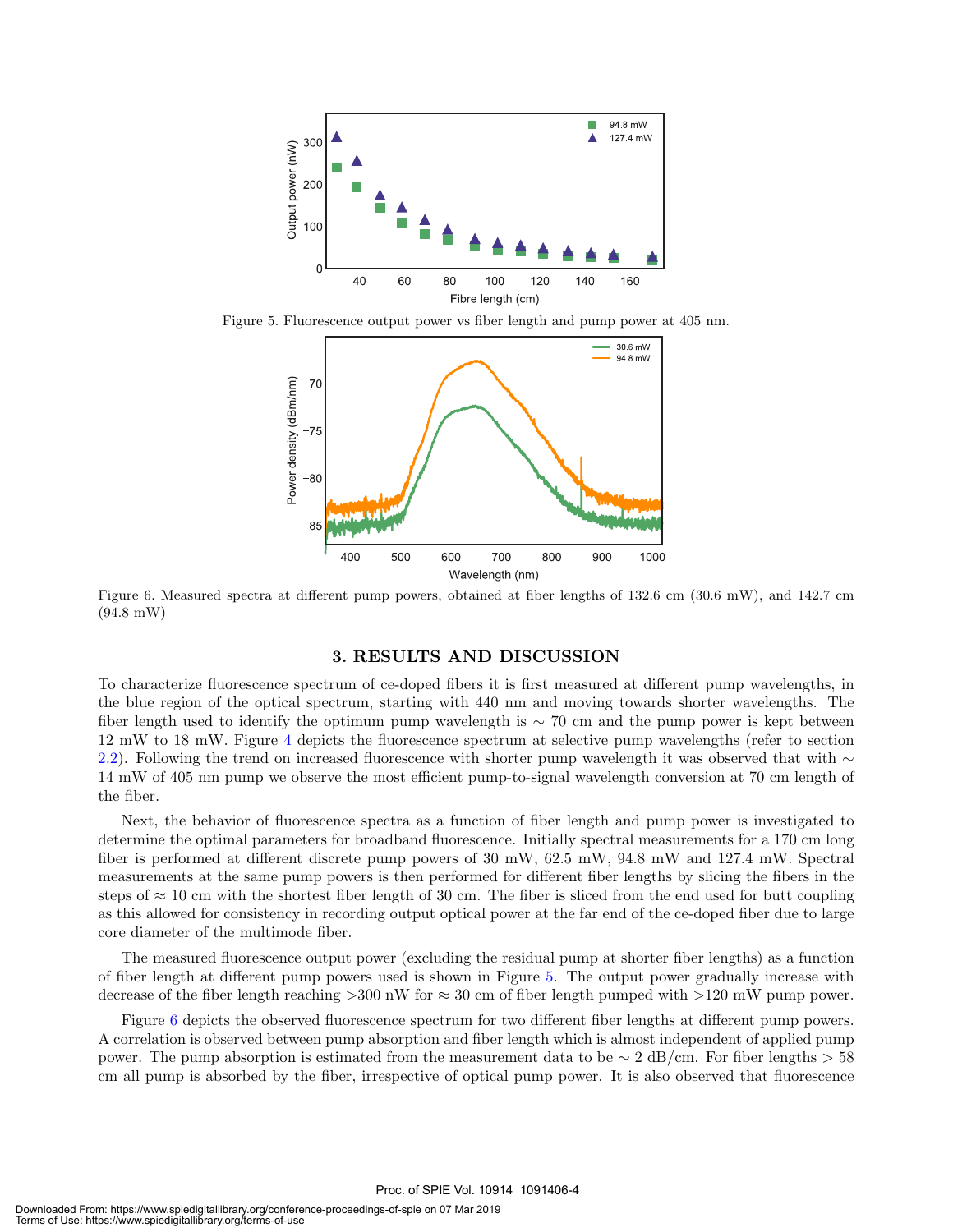

Figure 5. Fluorescence output power vs fiber length and pump power at 405 nm.



Figure 6. Measured spectra at different pump powers, obtained at fiber lengths of 132.6 cm (30.6 mW), and 142.7 cm (94.8 mW)

#### 3. RESULTS AND DISCUSSION

To characterize fluorescence spectrum of ce-doped fibers it is first measured at different pump wavelengths, in the blue region of the optical spectrum, starting with 440 nm and moving towards shorter wavelengths. The fiber length used to identify the optimum pump wavelength is  $\sim$  70 cm and the pump power is kept between 12 mW to 18 mW. Figure 4 depicts the fluorescence spectrum at selective pump wavelengths (refer to section 2.2). Following the trend on increased fluorescence with shorter pump wavelength it was observed that with  $\sim$ 14 mW of 405 nm pump we observe the most efficient pump-to-signal wavelength conversion at 70 cm length of the fiber.

Next, the behavior of fluorescence spectra as a function of fiber length and pump power is investigated to determine the optimal parameters for broadband fluorescence. Initially spectral measurements for a 170 cm long fiber is performed at different discrete pump powers of 30 mW, 62.5 mW, 94.8 mW and 127.4 mW. Spectral measurements at the same pump powers is then performed for different fiber lengths by slicing the fibers in the steps of  $\approx 10$  cm with the shortest fiber length of 30 cm. The fiber is sliced from the end used for butt coupling as this allowed for consistency in recording output optical power at the far end of the ce-doped fiber due to large core diameter of the multimode fiber.

The measured fluorescence output power (excluding the residual pump at shorter fiber lengths) as a function of fiber length at different pump powers used is shown in Figure 5. The output power gradually increase with decrease of the fiber length reaching  $>300$  nW for  $\approx 30$  cm of fiber length pumped with  $>120$  mW pump power.

Figure 6 depicts the observed fluorescence spectrum for two different fiber lengths at different pump powers. A correlation is observed between pump absorption and fiber length which is almost independent of applied pump power. The pump absorption is estimated from the measurement data to be  $\sim 2 \text{ dB/cm}$ . For fiber lengths > 58 cm all pump is absorbed by the fiber, irrespective of optical pump power. It is also observed that fluorescence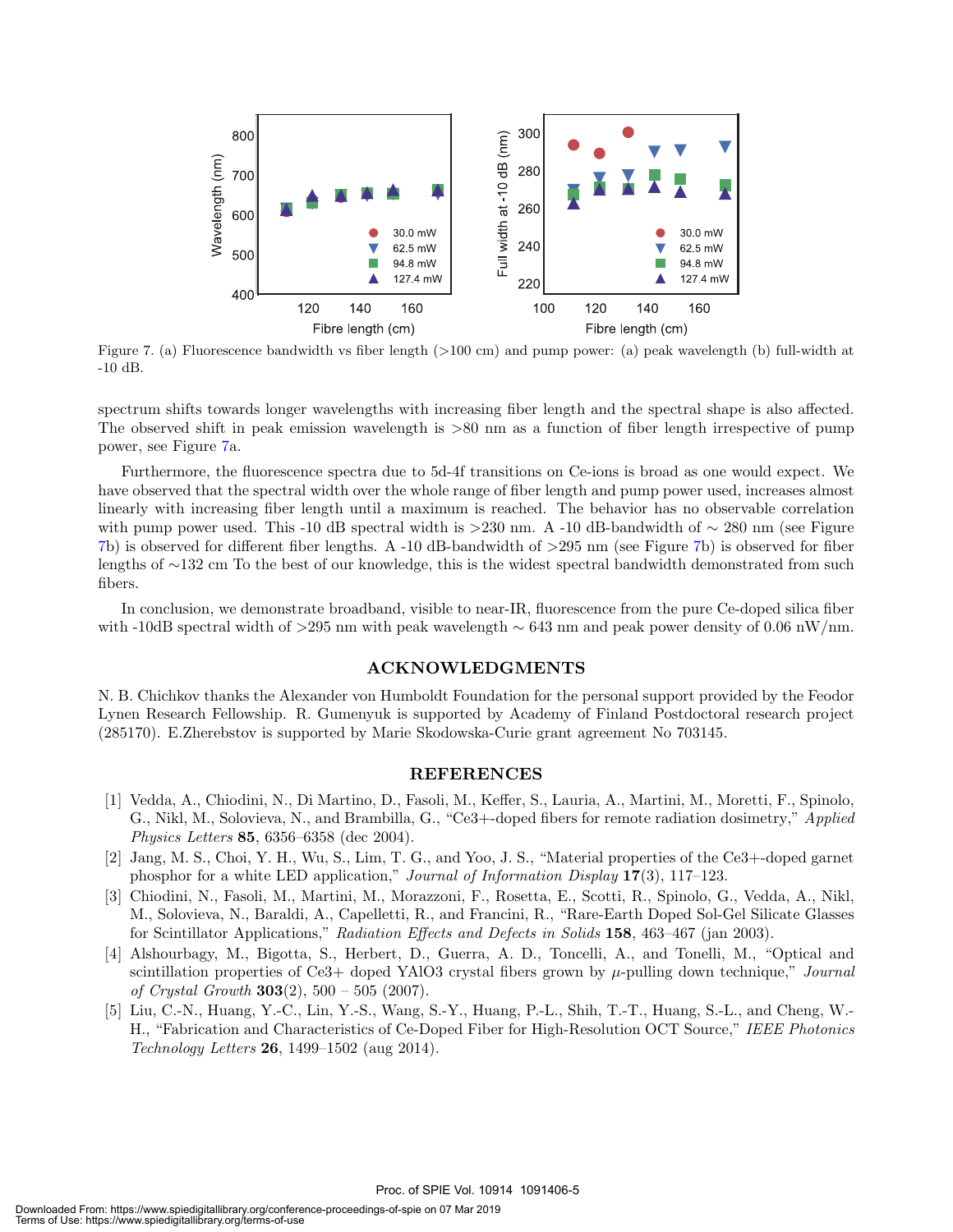

Figure 7. (a) Fluorescence bandwidth vs fiber length (>100 cm) and pump power: (a) peak wavelength (b) full-width at -10 dB.

spectrum shifts towards longer wavelengths with increasing fiber length and the spectral shape is also affected. The observed shift in peak emission wavelength is >80 nm as a function of fiber length irrespective of pump power, see Figure 7a.

Furthermore, the fluorescence spectra due to 5d-4f transitions on Ce-ions is broad as one would expect. We have observed that the spectral width over the whole range of fiber length and pump power used, increases almost linearly with increasing fiber length until a maximum is reached. The behavior has no observable correlation with pump power used. This -10 dB spectral width is >230 nm. A -10 dB-bandwidth of  $\sim$  280 nm (see Figure 7b) is observed for different fiber lengths. A -10 dB-bandwidth of >295 nm (see Figure 7b) is observed for fiber lengths of ∼132 cm To the best of our knowledge, this is the widest spectral bandwidth demonstrated from such fibers.

In conclusion, we demonstrate broadband, visible to near-IR, fluorescence from the pure Ce-doped silica fiber with -10dB spectral width of >295 nm with peak wavelength  $\sim 643$  nm and peak power density of 0.06 nW/nm.

#### ACKNOWLEDGMENTS

N. B. Chichkov thanks the Alexander von Humboldt Foundation for the personal support provided by the Feodor Lynen Research Fellowship. R. Gumenyuk is supported by Academy of Finland Postdoctoral research project (285170). E.Zherebstov is supported by Marie Skodowska-Curie grant agreement No 703145.

#### REFERENCES

- [1] Vedda, A., Chiodini, N., Di Martino, D., Fasoli, M., Keffer, S., Lauria, A., Martini, M., Moretti, F., Spinolo, G., Nikl, M., Solovieva, N., and Brambilla, G., "Ce3+-doped fibers for remote radiation dosimetry," Applied Physics Letters 85, 6356–6358 (dec 2004).
- [2] Jang, M. S., Choi, Y. H., Wu, S., Lim, T. G., and Yoo, J. S., "Material properties of the Ce3+-doped garnet phosphor for a white LED application," Journal of Information Display 17(3), 117–123.
- [3] Chiodini, N., Fasoli, M., Martini, M., Morazzoni, F., Rosetta, E., Scotti, R., Spinolo, G., Vedda, A., Nikl, M., Solovieva, N., Baraldi, A., Capelletti, R., and Francini, R., "Rare-Earth Doped Sol-Gel Silicate Glasses for Scintillator Applications," Radiation Effects and Defects in Solids 158, 463–467 (jan 2003).
- [4] Alshourbagy, M., Bigotta, S., Herbert, D., Guerra, A. D., Toncelli, A., and Tonelli, M., "Optical and scintillation properties of Ce3+ doped YAlO3 crystal fibers grown by  $\mu$ -pulling down technique," Journal of Crystal Growth  $303(2)$ ,  $500 - 505$  (2007).
- [5] Liu, C.-N., Huang, Y.-C., Lin, Y.-S., Wang, S.-Y., Huang, P.-L., Shih, T.-T., Huang, S.-L., and Cheng, W.- H., "Fabrication and Characteristics of Ce-Doped Fiber for High-Resolution OCT Source," IEEE Photonics *Technology Letters* **26**, 1499–1502 (aug 2014).